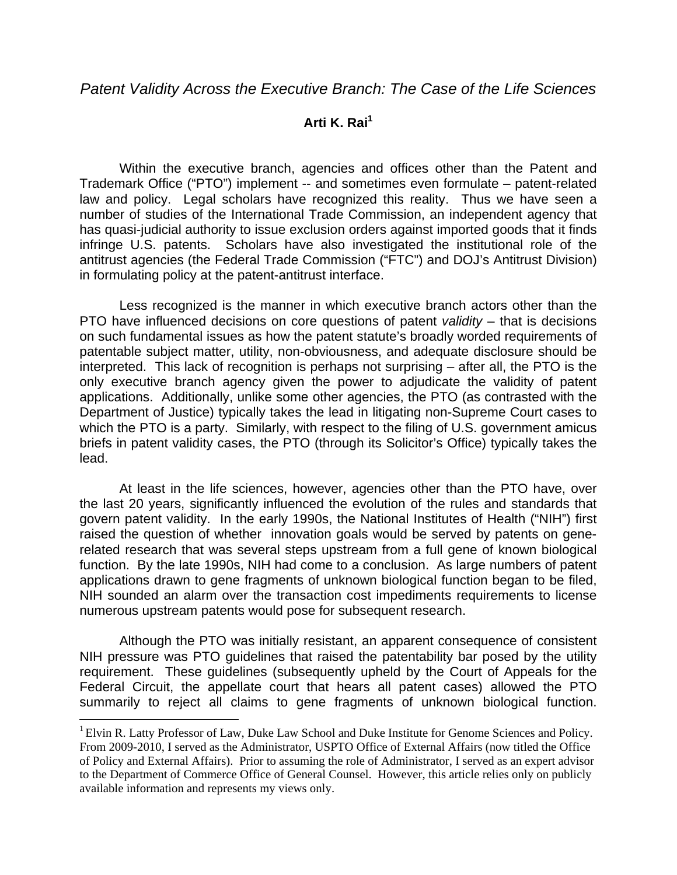## **Arti K. Rai1**

 Within the executive branch, agencies and offices other than the Patent and Trademark Office ("PTO") implement -- and sometimes even formulate – patent-related law and policy. Legal scholars have recognized this reality. Thus we have seen a number of studies of the International Trade Commission, an independent agency that has quasi-judicial authority to issue exclusion orders against imported goods that it finds infringe U.S. patents. Scholars have also investigated the institutional role of the antitrust agencies (the Federal Trade Commission ("FTC") and DOJ's Antitrust Division) in formulating policy at the patent-antitrust interface.

Less recognized is the manner in which executive branch actors other than the PTO have influenced decisions on core questions of patent *validity* – that is decisions on such fundamental issues as how the patent statute's broadly worded requirements of patentable subject matter, utility, non-obviousness, and adequate disclosure should be interpreted. This lack of recognition is perhaps not surprising – after all, the PTO is the only executive branch agency given the power to adjudicate the validity of patent applications. Additionally, unlike some other agencies, the PTO (as contrasted with the Department of Justice) typically takes the lead in litigating non-Supreme Court cases to which the PTO is a party. Similarly, with respect to the filing of U.S. government amicus briefs in patent validity cases, the PTO (through its Solicitor's Office) typically takes the lead.

At least in the life sciences, however, agencies other than the PTO have, over the last 20 years, significantly influenced the evolution of the rules and standards that govern patent validity. In the early 1990s, the National Institutes of Health ("NIH") first raised the question of whether innovation goals would be served by patents on generelated research that was several steps upstream from a full gene of known biological function. By the late 1990s, NIH had come to a conclusion. As large numbers of patent applications drawn to gene fragments of unknown biological function began to be filed, NIH sounded an alarm over the transaction cost impediments requirements to license numerous upstream patents would pose for subsequent research.

Although the PTO was initially resistant, an apparent consequence of consistent NIH pressure was PTO guidelines that raised the patentability bar posed by the utility requirement. These guidelines (subsequently upheld by the Court of Appeals for the Federal Circuit, the appellate court that hears all patent cases) allowed the PTO summarily to reject all claims to gene fragments of unknown biological function.

 $\overline{\phantom{a}}$ 

<sup>&</sup>lt;sup>1</sup> Elvin R. Latty Professor of Law, Duke Law School and Duke Institute for Genome Sciences and Policy. From 2009-2010, I served as the Administrator, USPTO Office of External Affairs (now titled the Office of Policy and External Affairs). Prior to assuming the role of Administrator, I served as an expert advisor to the Department of Commerce Office of General Counsel. However, this article relies only on publicly available information and represents my views only.